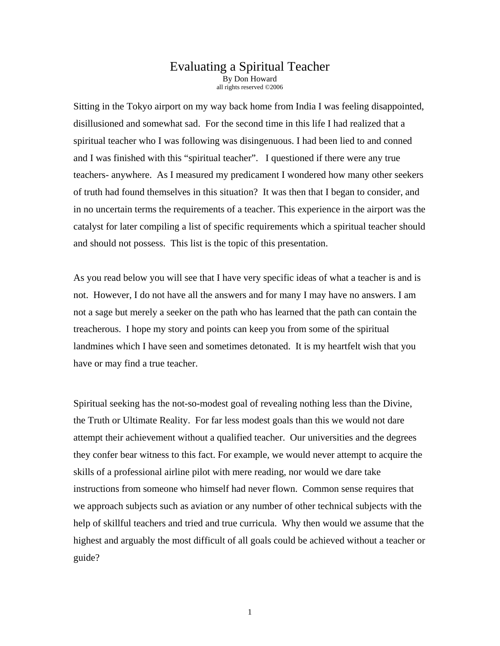## Evaluating a Spiritual Teacher By Don Howard all rights reserved ©2006

Sitting in the Tokyo airport on my way back home from India I was feeling disappointed, disillusioned and somewhat sad. For the second time in this life I had realized that a spiritual teacher who I was following was disingenuous. I had been lied to and conned and I was finished with this "spiritual teacher". I questioned if there were any true teachers- anywhere. As I measured my predicament I wondered how many other seekers of truth had found themselves in this situation? It was then that I began to consider, and in no uncertain terms the requirements of a teacher. This experience in the airport was the catalyst for later compiling a list of specific requirements which a spiritual teacher should and should not possess. This list is the topic of this presentation.

As you read below you will see that I have very specific ideas of what a teacher is and is not. However, I do not have all the answers and for many I may have no answers. I am not a sage but merely a seeker on the path who has learned that the path can contain the treacherous. I hope my story and points can keep you from some of the spiritual landmines which I have seen and sometimes detonated. It is my heartfelt wish that you have or may find a true teacher.

Spiritual seeking has the not-so-modest goal of revealing nothing less than the Divine, the Truth or Ultimate Reality. For far less modest goals than this we would not dare attempt their achievement without a qualified teacher. Our universities and the degrees they confer bear witness to this fact. For example, we would never attempt to acquire the skills of a professional airline pilot with mere reading, nor would we dare take instructions from someone who himself had never flown. Common sense requires that we approach subjects such as aviation or any number of other technical subjects with the help of skillful teachers and tried and true curricula. Why then would we assume that the highest and arguably the most difficult of all goals could be achieved without a teacher or guide?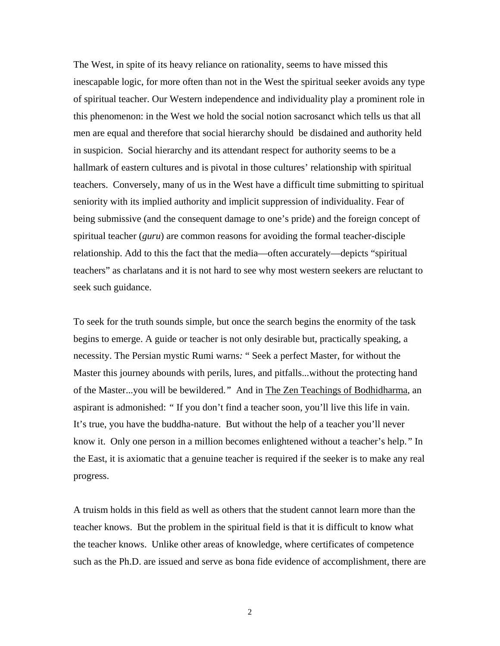The West, in spite of its heavy reliance on rationality, seems to have missed this inescapable logic, for more often than not in the West the spiritual seeker avoids any type of spiritual teacher. Our Western independence and individuality play a prominent role in this phenomenon: in the West we hold the social notion sacrosanct which tells us that all men are equal and therefore that social hierarchy should be disdained and authority held in suspicion. Social hierarchy and its attendant respect for authority seems to be a hallmark of eastern cultures and is pivotal in those cultures' relationship with spiritual teachers. Conversely, many of us in the West have a difficult time submitting to spiritual seniority with its implied authority and implicit suppression of individuality. Fear of being submissive (and the consequent damage to one's pride) and the foreign concept of spiritual teacher (*guru*) are common reasons for avoiding the formal teacher-disciple relationship. Add to this the fact that the media—often accurately—depicts "spiritual teachers" as charlatans and it is not hard to see why most western seekers are reluctant to seek such guidance.

To seek for the truth sounds simple, but once the search begins the enormity of the task begins to emerge. A guide or teacher is not only desirable but, practically speaking, a necessity. The Persian mystic Rumi warns*:* " Seek a perfect Master, for without the Master this journey abounds with perils, lures, and pitfalls...without the protecting hand of the Master...you will be bewildered.*"* And in The Zen Teachings of Bodhidharma, an aspirant is admonished: *"* If you don't find a teacher soon, you'll live this life in vain. It's true, you have the buddha-nature. But without the help of a teacher you'll never know it. Only one person in a million becomes enlightened without a teacher's help.*"* In the East, it is axiomatic that a genuine teacher is required if the seeker is to make any real progress.

A truism holds in this field as well as others that the student cannot learn more than the teacher knows. But the problem in the spiritual field is that it is difficult to know what the teacher knows. Unlike other areas of knowledge, where certificates of competence such as the Ph.D. are issued and serve as bona fide evidence of accomplishment, there are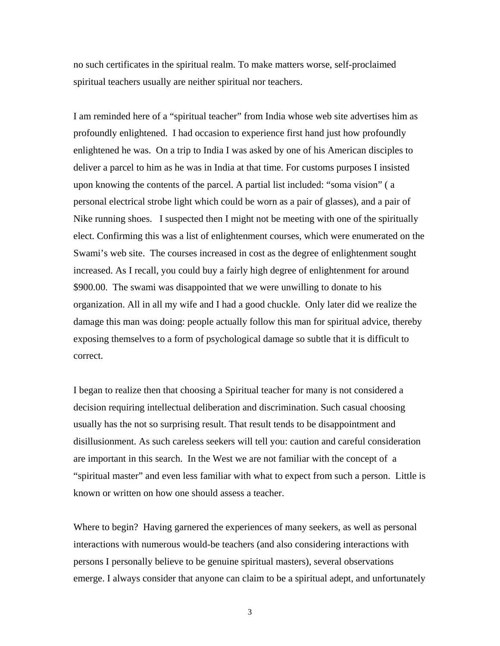no such certificates in the spiritual realm. To make matters worse, self-proclaimed spiritual teachers usually are neither spiritual nor teachers.

I am reminded here of a "spiritual teacher" from India whose web site advertises him as profoundly enlightened. I had occasion to experience first hand just how profoundly enlightened he was. On a trip to India I was asked by one of his American disciples to deliver a parcel to him as he was in India at that time. For customs purposes I insisted upon knowing the contents of the parcel. A partial list included: "soma vision" ( a personal electrical strobe light which could be worn as a pair of glasses), and a pair of Nike running shoes. I suspected then I might not be meeting with one of the spiritually elect. Confirming this was a list of enlightenment courses, which were enumerated on the Swami's web site. The courses increased in cost as the degree of enlightenment sought increased. As I recall, you could buy a fairly high degree of enlightenment for around \$900.00. The swami was disappointed that we were unwilling to donate to his organization. All in all my wife and I had a good chuckle. Only later did we realize the damage this man was doing: people actually follow this man for spiritual advice, thereby exposing themselves to a form of psychological damage so subtle that it is difficult to correct.

I began to realize then that choosing a Spiritual teacher for many is not considered a decision requiring intellectual deliberation and discrimination. Such casual choosing usually has the not so surprising result. That result tends to be disappointment and disillusionment. As such careless seekers will tell you: caution and careful consideration are important in this search. In the West we are not familiar with the concept of a "spiritual master" and even less familiar with what to expect from such a person. Little is known or written on how one should assess a teacher.

Where to begin? Having garnered the experiences of many seekers, as well as personal interactions with numerous would-be teachers (and also considering interactions with persons I personally believe to be genuine spiritual masters), several observations emerge. I always consider that anyone can claim to be a spiritual adept, and unfortunately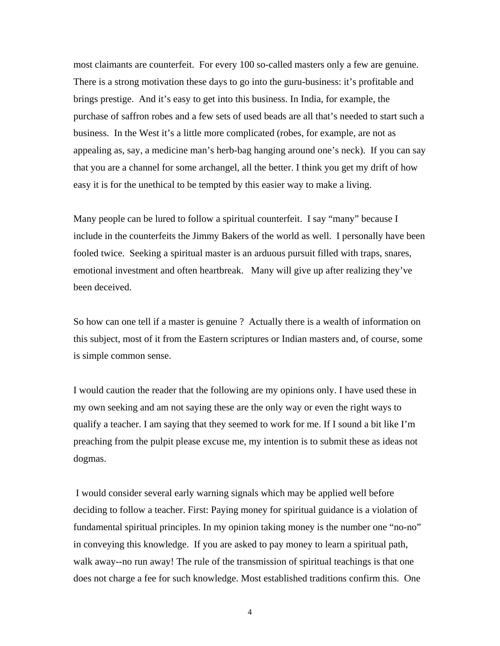most claimants are counterfeit. For every 100 so-called masters only a few are genuine. There is a strong motivation these days to go into the guru-business: it's profitable and brings prestige. And it's easy to get into this business. In India, for example, the purchase of saffron robes and a few sets of used beads are all that's needed to start such a business. In the West it's a little more complicated (robes, for example, are not as appealing as, say, a medicine man's herb-bag hanging around one's neck). If you can say that you are a channel for some archangel, all the better. I think you get my drift of how easy it is for the unethical to be tempted by this easier way to make a living.

Many people can be lured to follow a spiritual counterfeit. I say "many" because I include in the counterfeits the Jimmy Bakers of the world as well. I personally have been fooled twice. Seeking a spiritual master is an arduous pursuit filled with traps, snares, emotional investment and often heartbreak. Many will give up after realizing they've been deceived.

So how can one tell if a master is genuine ? Actually there is a wealth of information on this subject, most of it from the Eastern scriptures or Indian masters and, of course, some is simple common sense.

I would caution the reader that the following are my opinions only. I have used these in my own seeking and am not saying these are the only way or even the right ways to qualify a teacher. I am saying that they seemed to work for me. If I sound a bit like I'm preaching from the pulpit please excuse me, my intention is to submit these as ideas not dogmas.

 I would consider several early warning signals which may be applied well before deciding to follow a teacher. First: Paying money for spiritual guidance is a violation of fundamental spiritual principles. In my opinion taking money is the number one "no-no" in conveying this knowledge. If you are asked to pay money to learn a spiritual path, walk away--no run away! The rule of the transmission of spiritual teachings is that one does not charge a fee for such knowledge. Most established traditions confirm this. One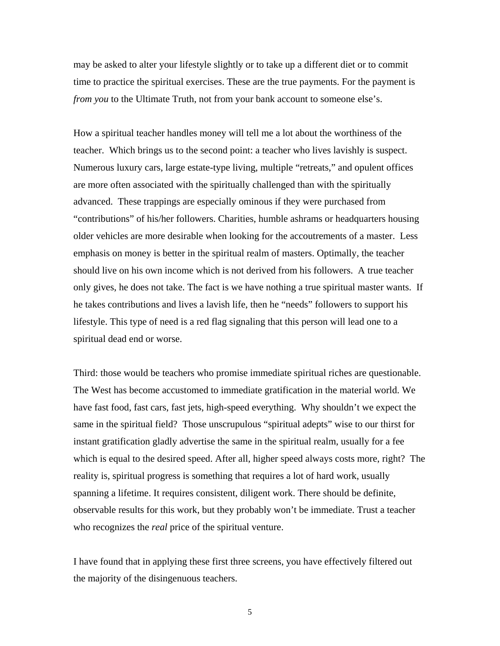may be asked to alter your lifestyle slightly or to take up a different diet or to commit time to practice the spiritual exercises. These are the true payments. For the payment is *from you* to the Ultimate Truth, not from your bank account to someone else's.

How a spiritual teacher handles money will tell me a lot about the worthiness of the teacher. Which brings us to the second point: a teacher who lives lavishly is suspect. Numerous luxury cars, large estate-type living, multiple "retreats," and opulent offices are more often associated with the spiritually challenged than with the spiritually advanced. These trappings are especially ominous if they were purchased from "contributions" of his/her followers. Charities, humble ashrams or headquarters housing older vehicles are more desirable when looking for the accoutrements of a master. Less emphasis on money is better in the spiritual realm of masters. Optimally, the teacher should live on his own income which is not derived from his followers. A true teacher only gives, he does not take. The fact is we have nothing a true spiritual master wants. If he takes contributions and lives a lavish life, then he "needs" followers to support his lifestyle. This type of need is a red flag signaling that this person will lead one to a spiritual dead end or worse.

Third: those would be teachers who promise immediate spiritual riches are questionable. The West has become accustomed to immediate gratification in the material world. We have fast food, fast cars, fast jets, high-speed everything. Why shouldn't we expect the same in the spiritual field? Those unscrupulous "spiritual adepts" wise to our thirst for instant gratification gladly advertise the same in the spiritual realm, usually for a fee which is equal to the desired speed. After all, higher speed always costs more, right? The reality is, spiritual progress is something that requires a lot of hard work, usually spanning a lifetime. It requires consistent, diligent work. There should be definite, observable results for this work, but they probably won't be immediate. Trust a teacher who recognizes the *real* price of the spiritual venture.

I have found that in applying these first three screens, you have effectively filtered out the majority of the disingenuous teachers.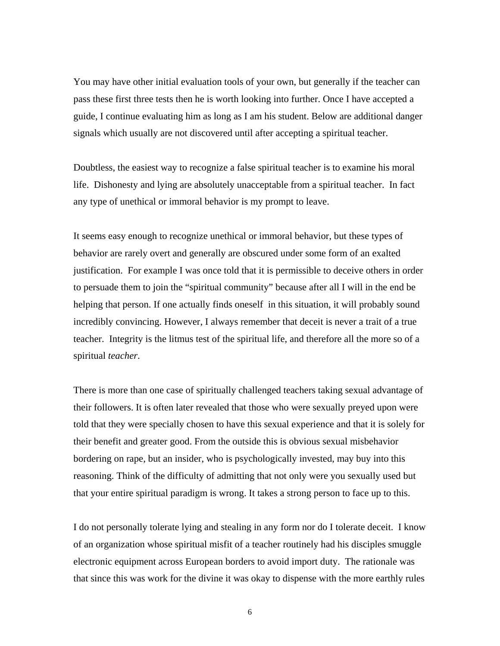You may have other initial evaluation tools of your own, but generally if the teacher can pass these first three tests then he is worth looking into further. Once I have accepted a guide, I continue evaluating him as long as I am his student. Below are additional danger signals which usually are not discovered until after accepting a spiritual teacher.

Doubtless, the easiest way to recognize a false spiritual teacher is to examine his moral life. Dishonesty and lying are absolutely unacceptable from a spiritual teacher. In fact any type of unethical or immoral behavior is my prompt to leave.

It seems easy enough to recognize unethical or immoral behavior, but these types of behavior are rarely overt and generally are obscured under some form of an exalted justification. For example I was once told that it is permissible to deceive others in order to persuade them to join the "spiritual community" because after all I will in the end be helping that person. If one actually finds oneself in this situation, it will probably sound incredibly convincing. However, I always remember that deceit is never a trait of a true teacher. Integrity is the litmus test of the spiritual life, and therefore all the more so of a spiritual *teacher*.

There is more than one case of spiritually challenged teachers taking sexual advantage of their followers. It is often later revealed that those who were sexually preyed upon were told that they were specially chosen to have this sexual experience and that it is solely for their benefit and greater good. From the outside this is obvious sexual misbehavior bordering on rape, but an insider, who is psychologically invested, may buy into this reasoning. Think of the difficulty of admitting that not only were you sexually used but that your entire spiritual paradigm is wrong. It takes a strong person to face up to this.

I do not personally tolerate lying and stealing in any form nor do I tolerate deceit. I know of an organization whose spiritual misfit of a teacher routinely had his disciples smuggle electronic equipment across European borders to avoid import duty. The rationale was that since this was work for the divine it was okay to dispense with the more earthly rules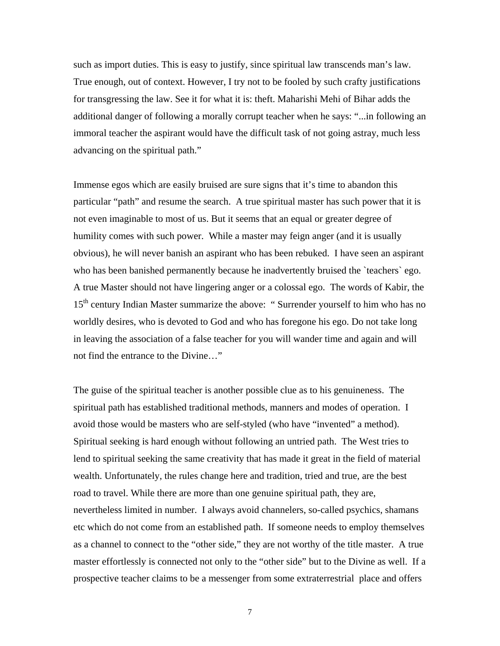such as import duties. This is easy to justify, since spiritual law transcends man's law. True enough, out of context. However, I try not to be fooled by such crafty justifications for transgressing the law. See it for what it is: theft. Maharishi Mehi of Bihar adds the additional danger of following a morally corrupt teacher when he says: "...in following an immoral teacher the aspirant would have the difficult task of not going astray, much less advancing on the spiritual path."

Immense egos which are easily bruised are sure signs that it's time to abandon this particular "path" and resume the search. A true spiritual master has such power that it is not even imaginable to most of us. But it seems that an equal or greater degree of humility comes with such power. While a master may feign anger (and it is usually obvious), he will never banish an aspirant who has been rebuked. I have seen an aspirant who has been banished permanently because he inadvertently bruised the `teachers` ego. A true Master should not have lingering anger or a colossal ego. The words of Kabir, the 15<sup>th</sup> century Indian Master summarize the above: "Surrender yourself to him who has no worldly desires, who is devoted to God and who has foregone his ego. Do not take long in leaving the association of a false teacher for you will wander time and again and will not find the entrance to the Divine…"

The guise of the spiritual teacher is another possible clue as to his genuineness. The spiritual path has established traditional methods, manners and modes of operation. I avoid those would be masters who are self-styled (who have "invented" a method). Spiritual seeking is hard enough without following an untried path. The West tries to lend to spiritual seeking the same creativity that has made it great in the field of material wealth. Unfortunately, the rules change here and tradition, tried and true, are the best road to travel. While there are more than one genuine spiritual path, they are, nevertheless limited in number. I always avoid channelers, so-called psychics, shamans etc which do not come from an established path. If someone needs to employ themselves as a channel to connect to the "other side," they are not worthy of the title master. A true master effortlessly is connected not only to the "other side" but to the Divine as well. If a prospective teacher claims to be a messenger from some extraterrestrial place and offers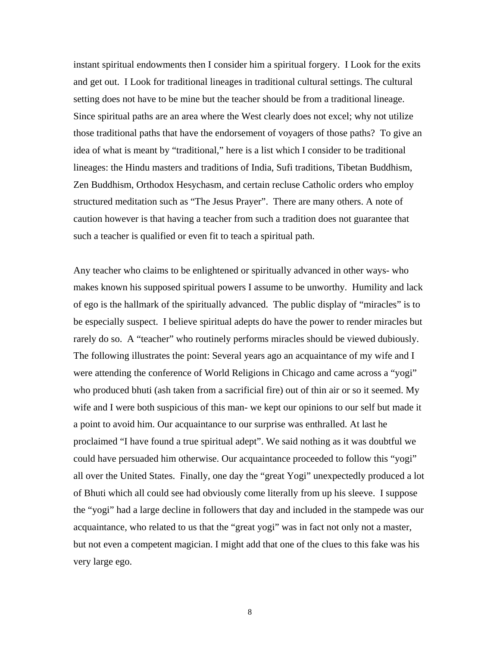instant spiritual endowments then I consider him a spiritual forgery. I Look for the exits and get out. I Look for traditional lineages in traditional cultural settings. The cultural setting does not have to be mine but the teacher should be from a traditional lineage. Since spiritual paths are an area where the West clearly does not excel; why not utilize those traditional paths that have the endorsement of voyagers of those paths? To give an idea of what is meant by "traditional," here is a list which I consider to be traditional lineages: the Hindu masters and traditions of India, Sufi traditions, Tibetan Buddhism, Zen Buddhism, Orthodox Hesychasm, and certain recluse Catholic orders who employ structured meditation such as "The Jesus Prayer". There are many others. A note of caution however is that having a teacher from such a tradition does not guarantee that such a teacher is qualified or even fit to teach a spiritual path.

Any teacher who claims to be enlightened or spiritually advanced in other ways- who makes known his supposed spiritual powers I assume to be unworthy. Humility and lack of ego is the hallmark of the spiritually advanced. The public display of "miracles" is to be especially suspect. I believe spiritual adepts do have the power to render miracles but rarely do so. A "teacher" who routinely performs miracles should be viewed dubiously. The following illustrates the point: Several years ago an acquaintance of my wife and I were attending the conference of World Religions in Chicago and came across a "yogi" who produced bhuti (ash taken from a sacrificial fire) out of thin air or so it seemed. My wife and I were both suspicious of this man- we kept our opinions to our self but made it a point to avoid him. Our acquaintance to our surprise was enthralled. At last he proclaimed "I have found a true spiritual adept". We said nothing as it was doubtful we could have persuaded him otherwise. Our acquaintance proceeded to follow this "yogi" all over the United States. Finally, one day the "great Yogi" unexpectedly produced a lot of Bhuti which all could see had obviously come literally from up his sleeve. I suppose the "yogi" had a large decline in followers that day and included in the stampede was our acquaintance, who related to us that the "great yogi" was in fact not only not a master, but not even a competent magician. I might add that one of the clues to this fake was his very large ego.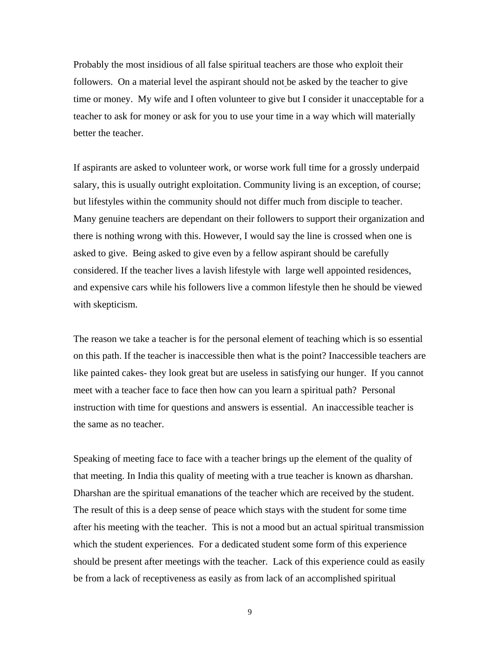Probably the most insidious of all false spiritual teachers are those who exploit their followers. On a material level the aspirant should not be asked by the teacher to give time or money. My wife and I often volunteer to give but I consider it unacceptable for a teacher to ask for money or ask for you to use your time in a way which will materially better the teacher.

If aspirants are asked to volunteer work, or worse work full time for a grossly underpaid salary, this is usually outright exploitation. Community living is an exception, of course; but lifestyles within the community should not differ much from disciple to teacher. Many genuine teachers are dependant on their followers to support their organization and there is nothing wrong with this. However, I would say the line is crossed when one is asked to give. Being asked to give even by a fellow aspirant should be carefully considered. If the teacher lives a lavish lifestyle with large well appointed residences, and expensive cars while his followers live a common lifestyle then he should be viewed with skepticism.

The reason we take a teacher is for the personal element of teaching which is so essential on this path. If the teacher is inaccessible then what is the point? Inaccessible teachers are like painted cakes- they look great but are useless in satisfying our hunger. If you cannot meet with a teacher face to face then how can you learn a spiritual path? Personal instruction with time for questions and answers is essential. An inaccessible teacher is the same as no teacher.

Speaking of meeting face to face with a teacher brings up the element of the quality of that meeting. In India this quality of meeting with a true teacher is known as dharshan. Dharshan are the spiritual emanations of the teacher which are received by the student. The result of this is a deep sense of peace which stays with the student for some time after his meeting with the teacher. This is not a mood but an actual spiritual transmission which the student experiences. For a dedicated student some form of this experience should be present after meetings with the teacher. Lack of this experience could as easily be from a lack of receptiveness as easily as from lack of an accomplished spiritual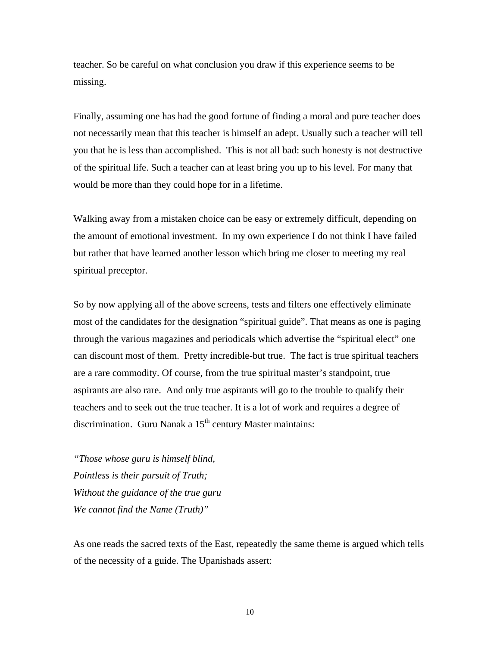teacher. So be careful on what conclusion you draw if this experience seems to be missing.

Finally, assuming one has had the good fortune of finding a moral and pure teacher does not necessarily mean that this teacher is himself an adept. Usually such a teacher will tell you that he is less than accomplished. This is not all bad: such honesty is not destructive of the spiritual life. Such a teacher can at least bring you up to his level. For many that would be more than they could hope for in a lifetime.

Walking away from a mistaken choice can be easy or extremely difficult, depending on the amount of emotional investment. In my own experience I do not think I have failed but rather that have learned another lesson which bring me closer to meeting my real spiritual preceptor.

So by now applying all of the above screens, tests and filters one effectively eliminate most of the candidates for the designation "spiritual guide". That means as one is paging through the various magazines and periodicals which advertise the "spiritual elect" one can discount most of them. Pretty incredible-but true. The fact is true spiritual teachers are a rare commodity. Of course, from the true spiritual master's standpoint, true aspirants are also rare. And only true aspirants will go to the trouble to qualify their teachers and to seek out the true teacher. It is a lot of work and requires a degree of discrimination. Guru Nanak a  $15<sup>th</sup>$  century Master maintains:

*"Those whose guru is himself blind, Pointless is their pursuit of Truth; Without the guidance of the true guru We cannot find the Name (Truth)"*

As one reads the sacred texts of the East, repeatedly the same theme is argued which tells of the necessity of a guide. The Upanishads assert: